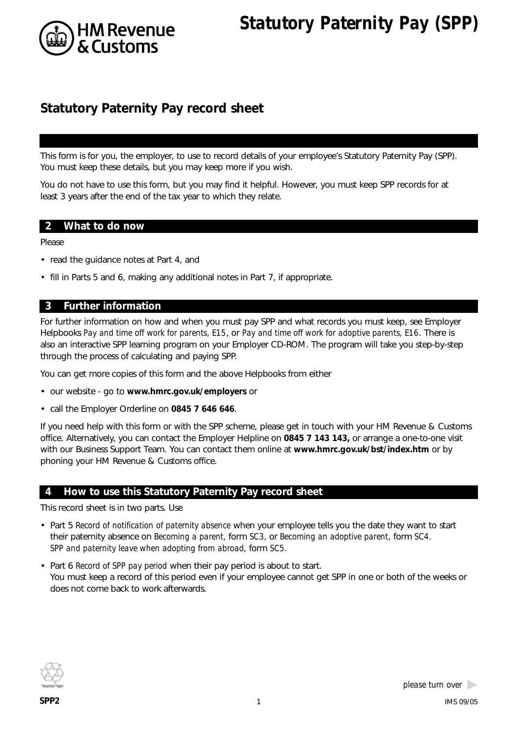

*Statutory Paternity Pay (SPP)*

# **Statutory Paternity Pay record sheet**

This form is for you, the employer, to use to record details of your employee's Statutory Paternity Pay (SPP). You must keep these details, but you may keep more if you wish.

You do not have to use this form, but you may find it helpful. However, you must keep SPP records for at least 3 years after the end of the tax year to which they relate.

#### **2 What to do now**

Please

- read the guidance notes at Part 4, and
- fill in Parts 5 and 6, making any additional notes in Part 7, if appropriate.

#### **3 Further information**

For further information on how and when you must pay SPP and what records you must keep, see Employer Helpbooks *Pay and time off work for parents, E15*, or *Pay and time off work for adoptive parents, E16*. There is also an interactive SPP learning program on your Employer CD-ROM. The program will take you step-by-step through the process of calculating and paying SPP.

You can get more copies of this form and the above Helpbooks from either

- our website go to **www.hmrc.gov.uk/employers** or
- call the Employer Orderline on **0845 7 646 646**.

If you need help with this form or with the SPP scheme, please get in touch with your HM Revenue & Customs office. Alternatively, you can contact the Employer Helpline on **0845 7 143 143,** or arrange a one-to-one visit with our Business Support Team. You can contact them online at **www.hmrc.gov.uk/bst/index.htm** or by phoning your HM Revenue & Customs office.

#### **4 How to use this Statutory Paternity Pay record sheet**

This record sheet is in two parts. Use

- Part 5 *Record of notification of paternity absence* when your employee tells you the date they want to start their paternity absence on *Becoming a parent,* form *SC3,* or *Becoming an adoptive parent*, form *SC4. SPP and paternity leave when adopting from abroad,* form *SC5.*
- Part 6 *Record of SPP pay period* when their pay period is about to start. You must keep a record of this period even if your employee cannot get SPP in one or both of the weeks or does not come back to work afterwards.